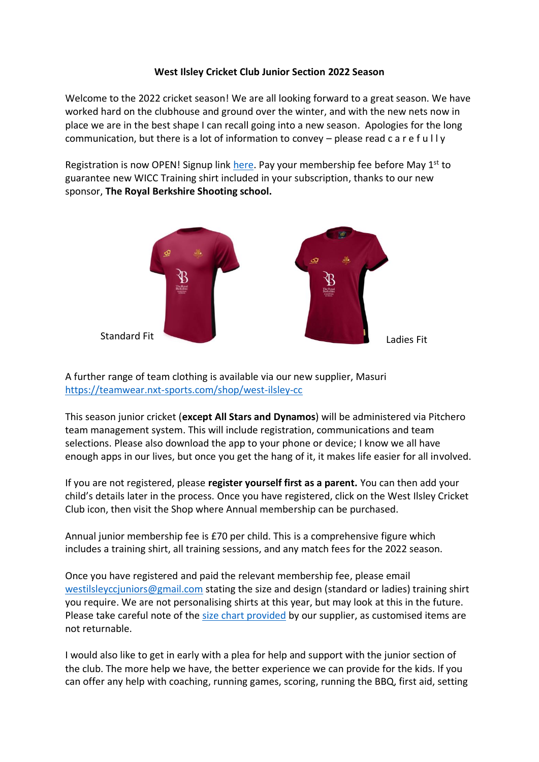# **West Ilsley Cricket Club Junior Section 2022 Season**

Welcome to the 2022 cricket season! We are all looking forward to a great season. We have worked hard on the clubhouse and ground over the winter, and with the new nets now in place we are in the best shape I can recall going into a new season. Apologies for the long communication, but there is a lot of information to convey – please read c a r e f u l l y

Registration is now OPEN! Signup link [here.](https://www.pitchero.com/clubs/westilsley/signup) Pay your membership fee before May 1<sup>st</sup> to guarantee new WICC Training shirt included in your subscription, thanks to our new sponsor, **The Royal Berkshire Shooting school.**



A further range of team clothing is available via our new supplier, Masuri <https://teamwear.nxt-sports.com/shop/west-ilsley-cc>

This season junior cricket (**except All Stars and Dynamos**) will be administered via Pitchero team management system. This will include registration, communications and team selections. Please also download the app to your phone or device; I know we all have enough apps in our lives, but once you get the hang of it, it makes life easier for all involved.

If you are not registered, please **register yourself first as a parent.** You can then add your child's details later in the process. Once you have registered, click on the West Ilsley Cricket Club icon, then visit the Shop where Annual membership can be purchased.

Annual junior membership fee is £70 per child. This is a comprehensive figure which includes a training shirt, all training sessions, and any match fees for the 2022 season.

Once you have registered and paid the relevant membership fee, please email [westilsleyccjuniors@gmail.com](mailto:westilsleyccjuniors@gmail.com?subject=2022%20season) stating the size and design (standard or ladies) training shirt you require. We are not personalising shirts at this year, but may look at this in the future. Please take careful note of the [size chart provided](mailto:https://teamwear.nxt-sports.com/uploads/All-size%20-Charts-new.pdf) by our supplier, as customised items are not returnable.

I would also like to get in early with a plea for help and support with the junior section of the club. The more help we have, the better experience we can provide for the kids. If you can offer any help with coaching, running games, scoring, running the BBQ, first aid, setting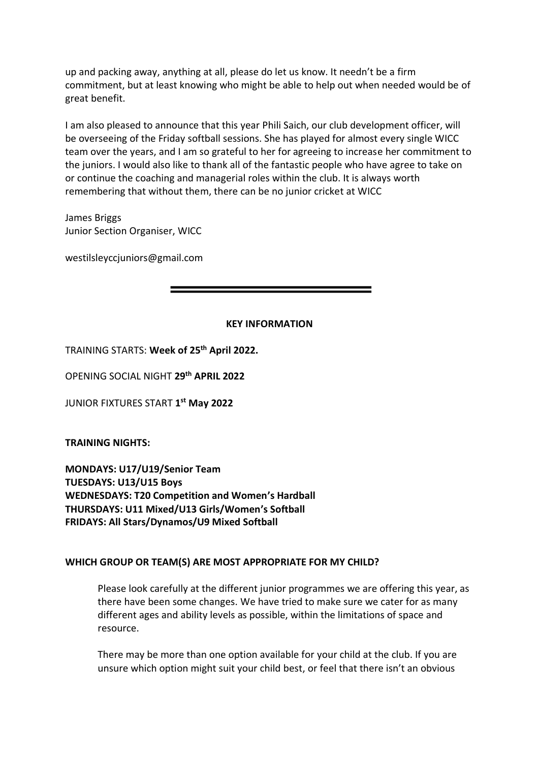up and packing away, anything at all, please do let us know. It needn't be a firm commitment, but at least knowing who might be able to help out when needed would be of great benefit.

I am also pleased to announce that this year Phili Saich, our club development officer, will be overseeing of the Friday softball sessions. She has played for almost every single WICC team over the years, and I am so grateful to her for agreeing to increase her commitment to the juniors. I would also like to thank all of the fantastic people who have agree to take on or continue the coaching and managerial roles within the club. It is always worth remembering that without them, there can be no junior cricket at WICC

James Briggs Junior Section Organiser, WICC

westilsleyccjuniors@gmail.com

## **KEY INFORMATION**

TRAINING STARTS: **Week of 25th April 2022.**

OPENING SOCIAL NIGHT **29th APRIL 2022**

JUNIOR FIXTURES START **1 st May 2022**

**TRAINING NIGHTS:** 

**MONDAYS: U17/U19/Senior Team TUESDAYS: U13/U15 Boys WEDNESDAYS: T20 Competition and Women's Hardball THURSDAYS: U11 Mixed/U13 Girls/Women's Softball FRIDAYS: All Stars/Dynamos/U9 Mixed Softball** 

# **WHICH GROUP OR TEAM(S) ARE MOST APPROPRIATE FOR MY CHILD?**

Please look carefully at the different junior programmes we are offering this year, as there have been some changes. We have tried to make sure we cater for as many different ages and ability levels as possible, within the limitations of space and resource.

There may be more than one option available for your child at the club. If you are unsure which option might suit your child best, or feel that there isn't an obvious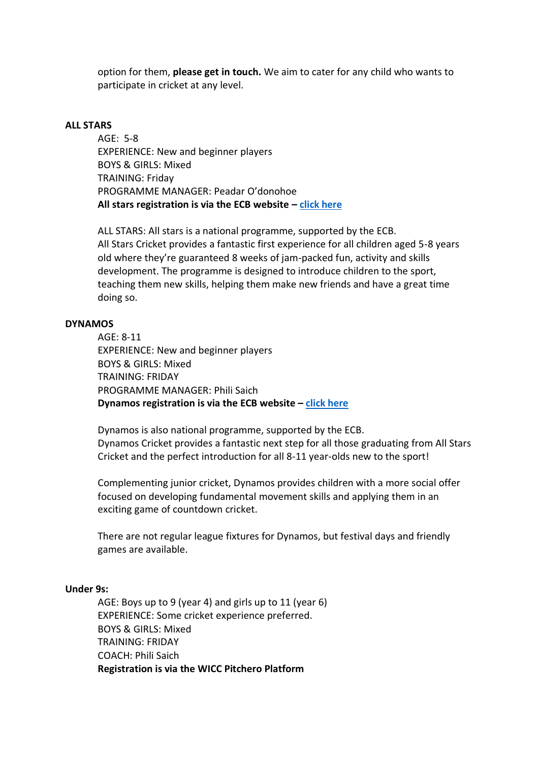option for them, **please get in touch.** We aim to cater for any child who wants to participate in cricket at any level.

#### **ALL STARS**

AGE: 5-8 EXPERIENCE: New and beginner players BOYS & GIRLS: Mixed TRAINING: Friday PROGRAMME MANAGER: Peadar O'donohoe **All stars registration is via the ECB website – [click here](mailto:https://ecb.clubspark.uk/AllStars/SearchResults?location=west+ilsley)**

ALL STARS: All stars is a national programme, supported by the ECB. All Stars Cricket provides a fantastic first experience for all children aged 5-8 years old where they're guaranteed 8 weeks of jam-packed fun, activity and skills development. The programme is designed to introduce children to the sport, teaching them new skills, helping them make new friends and have a great time doing so.

### **DYNAMOS**

AGE: 8-11 EXPERIENCE: New and beginner players BOYS & GIRLS: Mixed TRAINING: FRIDAY PROGRAMME MANAGER: Phili Saich **Dynamos registration is via the ECB website – [click here](mailto:https://ecb.clubspark.uk/AllStars/SearchResults?location=west+ilsley)**

Dynamos is also national programme, supported by the ECB. Dynamos Cricket provides a fantastic next step for all those graduating from All Stars Cricket and the perfect introduction for all 8-11 year-olds new to the sport!

Complementing junior cricket, Dynamos provides children with a more social offer focused on developing fundamental movement skills and applying them in an exciting game of countdown cricket.

There are not regular league fixtures for Dynamos, but festival days and friendly games are available.

### **Under 9s:**

AGE: Boys up to 9 (year 4) and girls up to 11 (year 6) EXPERIENCE: Some cricket experience preferred. BOYS & GIRLS: Mixed TRAINING: FRIDAY COACH: Phili Saich **Registration is via the WICC Pitchero Platform**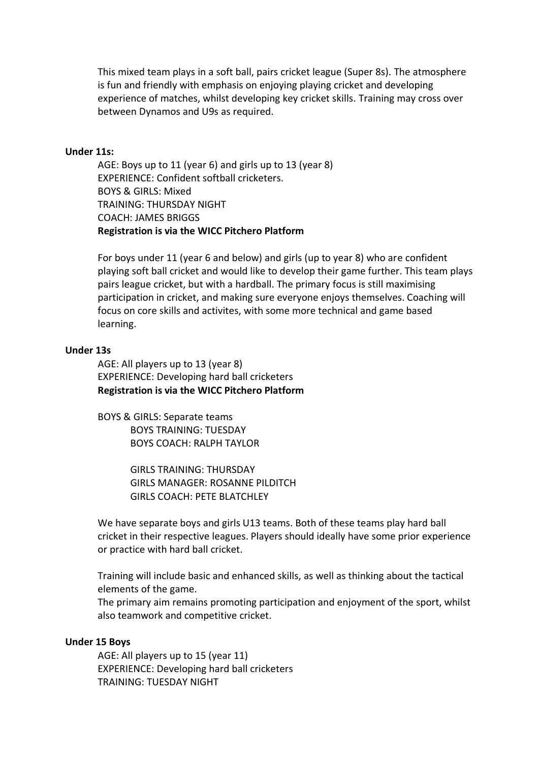This mixed team plays in a soft ball, pairs cricket league (Super 8s). The atmosphere is fun and friendly with emphasis on enjoying playing cricket and developing experience of matches, whilst developing key cricket skills. Training may cross over between Dynamos and U9s as required.

#### **Under 11s:**

AGE: Boys up to 11 (year 6) and girls up to 13 (year 8) EXPERIENCE: Confident softball cricketers. BOYS & GIRLS: Mixed TRAINING: THURSDAY NIGHT COACH: JAMES BRIGGS **Registration is via the WICC Pitchero Platform**

For boys under 11 (year 6 and below) and girls (up to year 8) who are confident playing soft ball cricket and would like to develop their game further. This team plays pairs league cricket, but with a hardball. The primary focus is still maximising participation in cricket, and making sure everyone enjoys themselves. Coaching will focus on core skills and activites, with some more technical and game based learning.

#### **Under 13s**

AGE: All players up to 13 (year 8) EXPERIENCE: Developing hard ball cricketers **Registration is via the WICC Pitchero Platform**

BOYS & GIRLS: Separate teams BOYS TRAINING: TUESDAY BOYS COACH: RALPH TAYLOR

> GIRLS TRAINING: THURSDAY GIRLS MANAGER: ROSANNE PILDITCH GIRLS COACH: PETE BLATCHLEY

We have separate boys and girls U13 teams. Both of these teams play hard ball cricket in their respective leagues. Players should ideally have some prior experience or practice with hard ball cricket.

Training will include basic and enhanced skills, as well as thinking about the tactical elements of the game.

The primary aim remains promoting participation and enjoyment of the sport, whilst also teamwork and competitive cricket.

#### **Under 15 Boys**

AGE: All players up to 15 (year 11) EXPERIENCE: Developing hard ball cricketers TRAINING: TUESDAY NIGHT